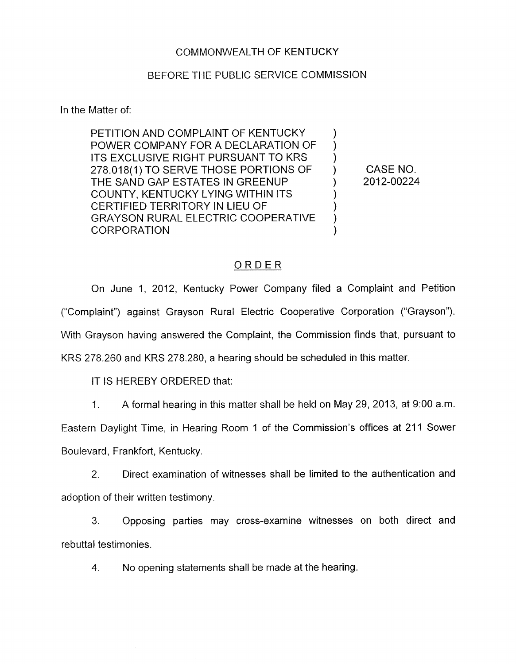## COMMONWEALTH OF KENTUCKY

## BEFORE THE PUBLIC SERVICE COMMISSION

In the Matter of:

PETITION AND COMPLAINT OF KENTUCKY POWER COMPANY FOR A DECLARATION OF ITS EXCLUSIVE RIGHT PURSUANT TO KRS 278.018(1) TO SERVE THOSE PORTIONS OF THE SAND GAP ESTATES IN GREENUP COUNTY, KENTUCKY LYING WITHIN ITS CERTIFIED TERRITORY IN LIEU OF GRAYSON RURAL ELECTRIC COOPERATIVE **CORPORATION** 

 $) 2012 - 00224$ CASE NO.

 $\mathcal{Y}$ ) ) )

> $\mathcal{Y}$ ) )  $\mathcal{L}$

## ORDER

On June 1, 2012, Kentucky Power Company filed a Complaint and Petition ("Complaint") against Grayson Rural Electric Cooperative Corporation ("Grayson"). With Grayson having answered the Complaint, the Commission finds that, pursuant to KRS 278.260 and KRS 278.280, a hearing should be scheduled in this matter.

IT IS HEREBY ORDERED that:

I. A formal hearing in this matter shall be held on May 29, 2013, at 9:00 a.m.

Eastern Daylight Time, in Hearing Room 1 of the Commission's offices at 211 Sower Boulevard, Frankfort, Kentucky.

2. Direct examination of witnesses shall be limited to the authentication and adoption of their written testimony.

3. Opposing parties may cross-examine witnesses on both direct and rebuttal testimonies.

**4.** No opening statements shall be made at the hearing.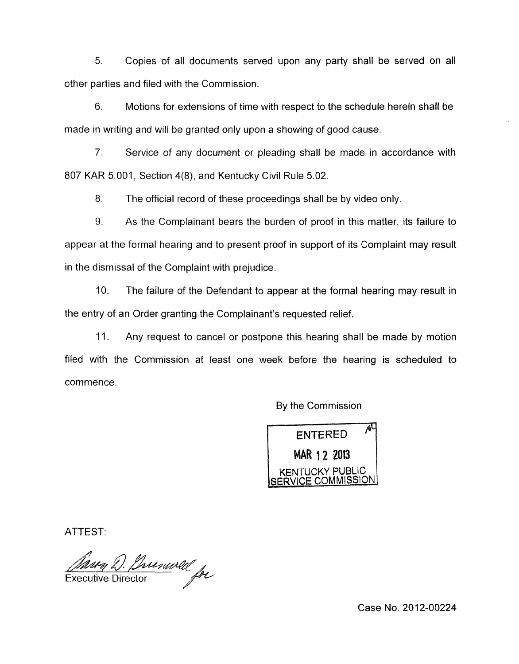*5.* Copies of all documents served upon any party shall be served on all other parties and filed with the Commission.

6. Motions for extensions of time with respect to the schedule herein shall be made in writing and will be granted only upon a showing of good cause.

*7.* Service of any document or pleading shall be made in accordance with 807 KAR 5:001, Section 4(8), and Kentucky Civil Rule 5.02.

*8.* The official record of these proceedings shall be by video only.

9. As the Complainant bears the burden of proof in this matter, its failure to appear at the formal hearing and to present proof in support of its Complaint may result in the dismissal of the Complaint with prejudice.

10. The failure of the Defendant to appear at the formal hearing may result in the entry of an Order granting the Complainant's requested relief.

11. Any request to cancel or postpone this hearing shall be made by motion filed with the Commission at least one week before the hearing is scheduled to commence .

By the Commission

凧 **ENTERED** MAR 1 2 2013 **KENTUCKY PUBLIC SERVICE** COMMISSION

ATTEST:

Mury D. Prusuvell for

Case No. 2012-00224